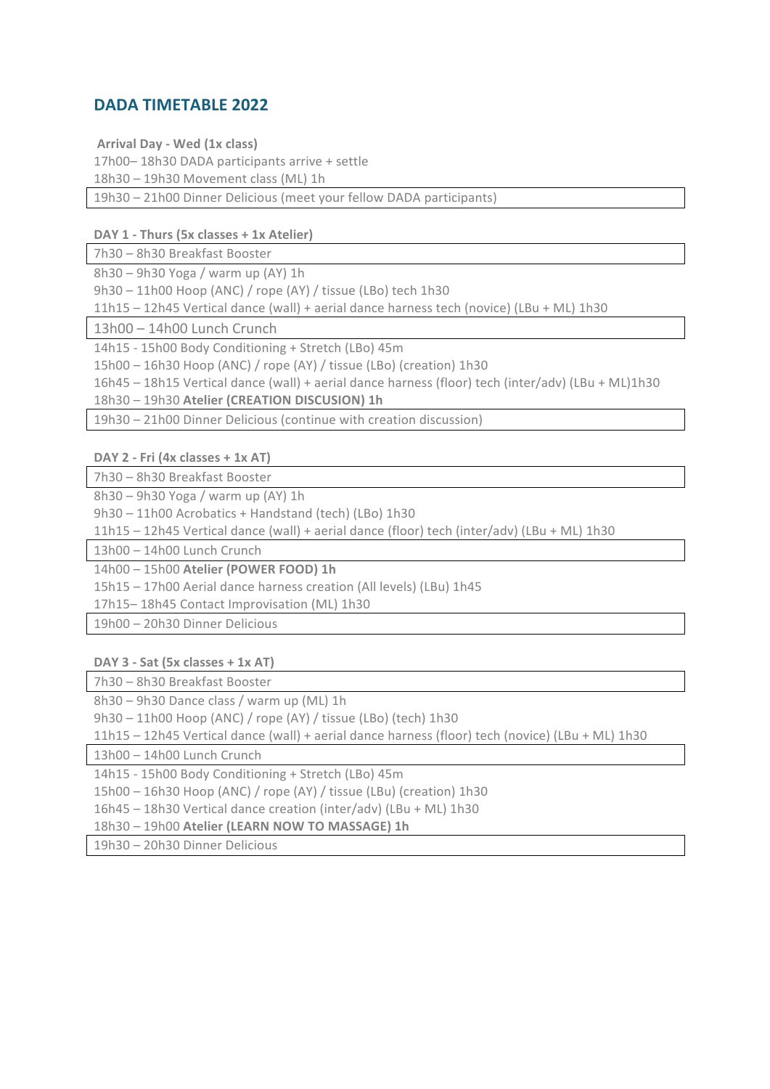## **DADA TIMETABLE 2022**

**Arrival Day - Wed (1x class)** 

17h00-18h30 DADA participants arrive + settle

18h30 - 19h30 Movement class (ML) 1h

19h30 – 21h00 Dinner Delicious (meet your fellow DADA participants)

**DAY 1 - Thurs (5x classes + 1x Atelier)**

7h30 - 8h30 Breakfast Booster

 $8h30 - 9h30$  Yoga / warm up (AY) 1h

 $9h30 - 11h00$  Hoop (ANC) / rope (AY) / tissue (LBo) tech 1h30

 $11h15 - 12h45$  Vertical dance (wall) + aerial dance harness tech (novice) (LBu + ML) 1h30

13h00 - 14h00 Lunch Crunch

14h15 - 15h00 Body Conditioning + Stretch (LBo) 45m

15h00 – 16h30 Hoop (ANC) / rope (AY) / tissue (LBo) (creation) 1h30

16h45 – 18h15 Vertical dance (wall) + aerial dance harness (floor) tech (inter/adv) (LBu + ML)1h30

18h30 – 19h30 **Atelier (CREATION DISCUSION) 1h**

19h30 – 21h00 Dinner Delicious (continue with creation discussion)

**DAY 2 - Fri (4x classes + 1x AT)**

7h30 - 8h30 Breakfast Booster

 $8h30 - 9h30$  Yoga / warm up (AY) 1h

9h30 – 11h00 Acrobatics + Handstand (tech) (LBo) 1h30

 $11h15 - 12h45$  Vertical dance (wall) + aerial dance (floor) tech (inter/adv) (LBu + ML) 1h30

13h00 - 14h00 Lunch Crunch

14h00 – 15h00 **Atelier (POWER FOOD) 1h**

15h15 - 17h00 Aerial dance harness creation (All levels) (LBu) 1h45

17h15-18h45 Contact Improvisation (ML) 1h30

19h00 - 20h30 Dinner Delicious

**DAY 3 - Sat (5x classes + 1x AT)**

7h30 - 8h30 Breakfast Booster

8h30 – 9h30 Dance class / warm up (ML) 1h

 $9h30 - 11h00$  Hoop (ANC) / rope (AY) / tissue (LBo) (tech)  $1h30$ 

11h15 – 12h45 Vertical dance (wall) + aerial dance harness (floor) tech (novice) (LBu + ML) 1h30

13h00 - 14h00 Lunch Crunch

14h15 - 15h00 Body Conditioning + Stretch (LBo) 45m

 $15h00 - 16h30$  Hoop (ANC) / rope (AY) / tissue (LBu) (creation)  $1h30$ 

16h45 – 18h30 Vertical dance creation (inter/adv) (LBu + ML) 1h30

18h30 – 19h00 **Atelier (LEARN NOW TO MASSAGE) 1h** 

19h30 – 20h30 Dinner Delicious